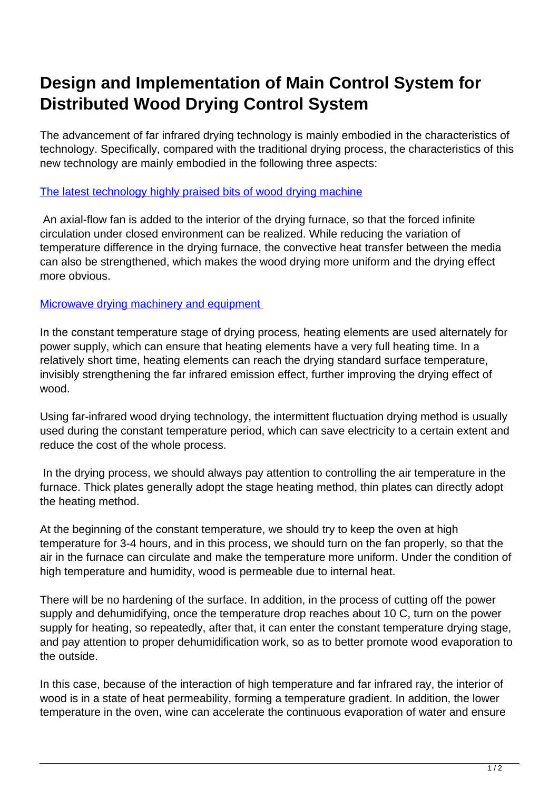## **Design and Implementation of Main Control System for Distributed Wood Drying Control System**

The advancement of far infrared drying technology is mainly embodied in the characteristics of technology. Specifically, compared with the traditional drying process, the characteristics of this new technology are mainly embodied in the following three aspects:

## [The latest technology highly praised bits of wood drying machine](http://www.massalfa.org/china-50085403-the-latest-technology-highly-praised-bits-of-wood-drying-machine.html)

 An axial-flow fan is added to the interior of the drying furnace, so that the forced infinite circulation under closed environment can be realized. While reducing the variation of temperature difference in the drying furnace, the convective heat transfer between the media can also be strengthened, which makes the wood drying more uniform and the drying effect more obvious.

## [Microwave drying machinery and equipment](http://www.massalfa.org)

In the constant temperature stage of drying process, heating elements are used alternately for power supply, which can ensure that heating elements have a very full heating time. In a relatively short time, heating elements can reach the drying standard surface temperature, invisibly strengthening the far infrared emission effect, further improving the drying effect of wood.

Using far-infrared wood drying technology, the intermittent fluctuation drying method is usually used during the constant temperature period, which can save electricity to a certain extent and reduce the cost of the whole process.

 In the drying process, we should always pay attention to controlling the air temperature in the furnace. Thick plates generally adopt the stage heating method, thin plates can directly adopt the heating method.

At the beginning of the constant temperature, we should try to keep the oven at high temperature for 3-4 hours, and in this process, we should turn on the fan properly, so that the air in the furnace can circulate and make the temperature more uniform. Under the condition of high temperature and humidity, wood is permeable due to internal heat.

There will be no hardening of the surface. In addition, in the process of cutting off the power supply and dehumidifying, once the temperature drop reaches about 10 C, turn on the power supply for heating, so repeatedly, after that, it can enter the constant temperature drying stage, and pay attention to proper dehumidification work, so as to better promote wood evaporation to the outside.

In this case, because of the interaction of high temperature and far infrared ray, the interior of wood is in a state of heat permeability, forming a temperature gradient. In addition, the lower temperature in the oven, wine can accelerate the continuous evaporation of water and ensure